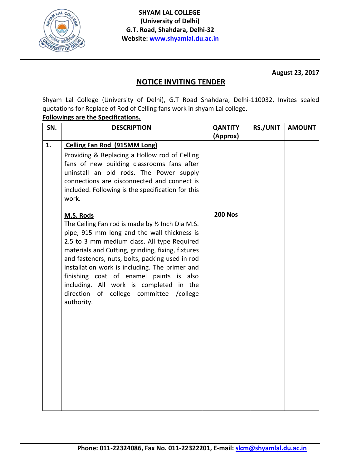

**August 23, 2017**

## **NOTICE INVITING TENDER**

Shyam Lal College (University of Delhi), G.T Road Shahdara, Delhi-110032, Invites sealed quotations for Replace of Rod of Celling fans work in shyam Lal college.

## **Followings are the Specifications.**

| SN. | <b>DESCRIPTION</b>                                                                                                                                                                                                                                                                                                                                                                                                                                                         | <b>QANTITY</b> | <b>RS./UNIT</b> | <b>AMOUNT</b> |
|-----|----------------------------------------------------------------------------------------------------------------------------------------------------------------------------------------------------------------------------------------------------------------------------------------------------------------------------------------------------------------------------------------------------------------------------------------------------------------------------|----------------|-----------------|---------------|
|     |                                                                                                                                                                                                                                                                                                                                                                                                                                                                            | (Approx)       |                 |               |
| 1.  | <b>Celling Fan Rod (915MM Long)</b><br>Providing & Replacing a Hollow rod of Celling<br>fans of new building classrooms fans after<br>uninstall an old rods. The Power supply<br>connections are disconnected and connect is<br>included. Following is the specification for this<br>work.                                                                                                                                                                                 |                |                 |               |
|     | M.S. Rods<br>The Ceiling Fan rod is made by 1/2 Inch Dia M.S.<br>pipe, 915 mm long and the wall thickness is<br>2.5 to 3 mm medium class. All type Required<br>materials and Cutting, grinding, fixing, fixtures<br>and fasteners, nuts, bolts, packing used in rod<br>installation work is including. The primer and<br>finishing coat of enamel paints is also<br>including. All work is completed in the<br>direction<br>of college committee<br>/college<br>authority. | <b>200 Nos</b> |                 |               |